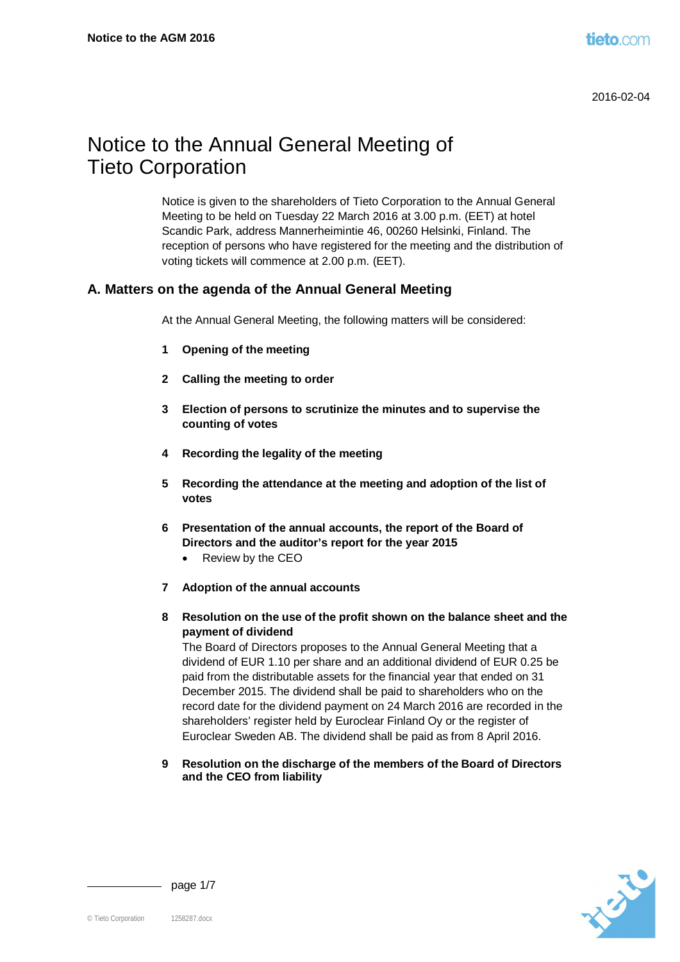# Notice to the Annual General Meeting of Tieto Corporation

Notice is given to the shareholders of Tieto Corporation to the Annual General Meeting to be held on Tuesday 22 March 2016 at 3.00 p.m. (EET) at hotel Scandic Park, address Mannerheimintie 46, 00260 Helsinki, Finland. The reception of persons who have registered for the meeting and the distribution of voting tickets will commence at 2.00 p.m. (EET).

# **A. Matters on the agenda of the Annual General Meeting**

At the Annual General Meeting, the following matters will be considered:

- **1 Opening of the meeting**
- **2 Calling the meeting to order**
- **3 Election of persons to scrutinize the minutes and to supervise the counting of votes**
- **4 Recording the legality of the meeting**
- **5 Recording the attendance at the meeting and adoption of the list of votes**
- **6 Presentation of the annual accounts, the report of the Board of Directors and the auditor's report for the year 2015**
	- Review by the CEO
- **7 Adoption of the annual accounts**
- **8 Resolution on the use of the profit shown on the balance sheet and the payment of dividend**

The Board of Directors proposes to the Annual General Meeting that a dividend of EUR 1.10 per share and an additional dividend of EUR 0.25 be paid from the distributable assets for the financial year that ended on 31 December 2015. The dividend shall be paid to shareholders who on the record date for the dividend payment on 24 March 2016 are recorded in the shareholders' register held by Euroclear Finland Oy or the register of Euroclear Sweden AB. The dividend shall be paid as from 8 April 2016.

**9 Resolution on the discharge of the members of the Board of Directors and the CEO from liability**



- page  $1/7$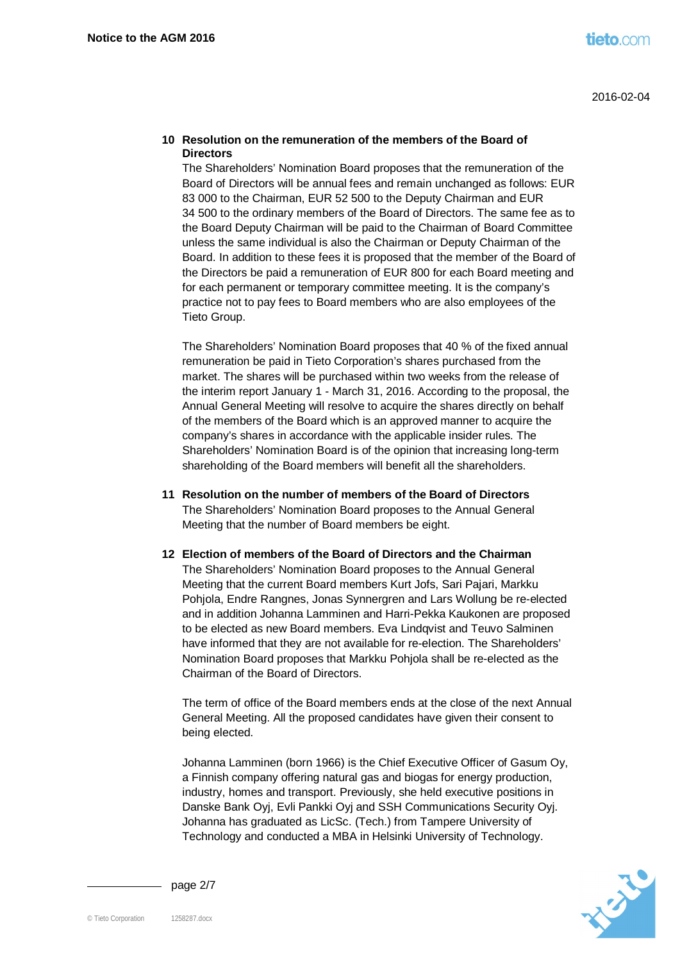#### **10 Resolution on the remuneration of the members of the Board of Directors**

The Shareholders' Nomination Board proposes that the remuneration of the Board of Directors will be annual fees and remain unchanged as follows: EUR 83 000 to the Chairman, EUR 52 500 to the Deputy Chairman and EUR 34 500 to the ordinary members of the Board of Directors. The same fee as to the Board Deputy Chairman will be paid to the Chairman of Board Committee unless the same individual is also the Chairman or Deputy Chairman of the Board. In addition to these fees it is proposed that the member of the Board of the Directors be paid a remuneration of EUR 800 for each Board meeting and for each permanent or temporary committee meeting. It is the company's practice not to pay fees to Board members who are also employees of the Tieto Group.

The Shareholders' Nomination Board proposes that 40 % of the fixed annual remuneration be paid in Tieto Corporation's shares purchased from the market. The shares will be purchased within two weeks from the release of the interim report January 1 - March 31, 2016. According to the proposal, the Annual General Meeting will resolve to acquire the shares directly on behalf of the members of the Board which is an approved manner to acquire the company's shares in accordance with the applicable insider rules. The Shareholders' Nomination Board is of the opinion that increasing long-term shareholding of the Board members will benefit all the shareholders.

**11 Resolution on the number of members of the Board of Directors** The Shareholders' Nomination Board proposes to the Annual General Meeting that the number of Board members be eight.

#### **12 Election of members of the Board of Directors and the Chairman** The Shareholders' Nomination Board proposes to the Annual General

Meeting that the current Board members Kurt Jofs, Sari Pajari, Markku Pohjola, Endre Rangnes, Jonas Synnergren and Lars Wollung be re-elected and in addition Johanna Lamminen and Harri-Pekka Kaukonen are proposed to be elected as new Board members. Eva Lindqvist and Teuvo Salminen have informed that they are not available for re-election. The Shareholders' Nomination Board proposes that Markku Pohjola shall be re-elected as the Chairman of the Board of Directors.

The term of office of the Board members ends at the close of the next Annual General Meeting. All the proposed candidates have given their consent to being elected.

Johanna Lamminen (born 1966) is the Chief Executive Officer of Gasum Oy, a Finnish company offering natural gas and biogas for energy production, industry, homes and transport. Previously, she held executive positions in Danske Bank Oyj, Evli Pankki Oyj and SSH Communications Security Oyj. Johanna has graduated as LicSc. (Tech.) from Tampere University of Technology and conducted a MBA in Helsinki University of Technology.



page 2/7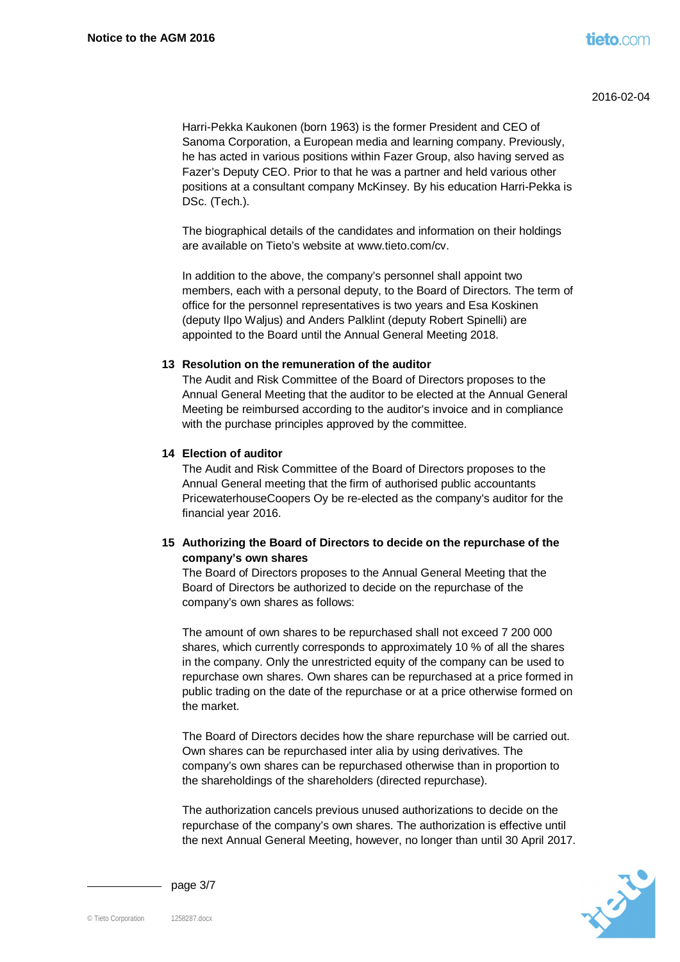Harri-Pekka Kaukonen (born 1963) is the former President and CEO of Sanoma Corporation, a European media and learning company. Previously, he has acted in various positions within Fazer Group, also having served as Fazer's Deputy CEO. Prior to that he was a partner and held various other positions at a consultant company McKinsey. By his education Harri-Pekka is DSc. (Tech.).

The biographical details of the candidates and information on their holdings are available on Tieto's website at www.tieto.com/cv.

In addition to the above, the company's personnel shall appoint two members, each with a personal deputy, to the Board of Directors. The term of office for the personnel representatives is two years and Esa Koskinen (deputy Ilpo Waljus) and Anders Palklint (deputy Robert Spinelli) are appointed to the Board until the Annual General Meeting 2018.

## **13 Resolution on the remuneration of the auditor**

The Audit and Risk Committee of the Board of Directors proposes to the Annual General Meeting that the auditor to be elected at the Annual General Meeting be reimbursed according to the auditor's invoice and in compliance with the purchase principles approved by the committee.

## **14 Election of auditor**

The Audit and Risk Committee of the Board of Directors proposes to the Annual General meeting that the firm of authorised public accountants PricewaterhouseCoopers Oy be re-elected as the company's auditor for the financial year 2016.

## **15 Authorizing the Board of Directors to decide on the repurchase of the company's own shares**

The Board of Directors proposes to the Annual General Meeting that the Board of Directors be authorized to decide on the repurchase of the company's own shares as follows:

The amount of own shares to be repurchased shall not exceed 7 200 000 shares, which currently corresponds to approximately 10 % of all the shares in the company. Only the unrestricted equity of the company can be used to repurchase own shares. Own shares can be repurchased at a price formed in public trading on the date of the repurchase or at a price otherwise formed on the market.

The Board of Directors decides how the share repurchase will be carried out. Own shares can be repurchased inter alia by using derivatives. The company's own shares can be repurchased otherwise than in proportion to the shareholdings of the shareholders (directed repurchase).

The authorization cancels previous unused authorizations to decide on the repurchase of the company's own shares. The authorization is effective until the next Annual General Meeting, however, no longer than until 30 April 2017.



page 3/7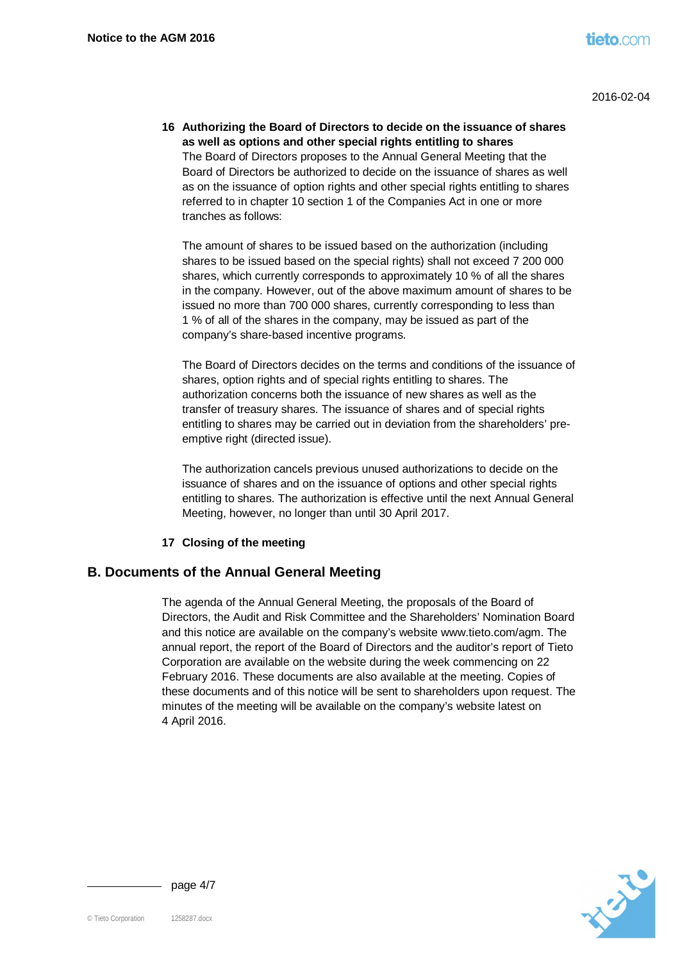**16 Authorizing the Board of Directors to decide on the issuance of shares as well as options and other special rights entitling to shares** The Board of Directors proposes to the Annual General Meeting that the Board of Directors be authorized to decide on the issuance of shares as well as on the issuance of option rights and other special rights entitling to shares referred to in chapter 10 section 1 of the Companies Act in one or more tranches as follows:

The amount of shares to be issued based on the authorization (including shares to be issued based on the special rights) shall not exceed 7 200 000 shares, which currently corresponds to approximately 10 % of all the shares in the company. However, out of the above maximum amount of shares to be issued no more than 700 000 shares, currently corresponding to less than 1 % of all of the shares in the company, may be issued as part of the company's share-based incentive programs.

The Board of Directors decides on the terms and conditions of the issuance of shares, option rights and of special rights entitling to shares. The authorization concerns both the issuance of new shares as well as the transfer of treasury shares. The issuance of shares and of special rights entitling to shares may be carried out in deviation from the shareholders' preemptive right (directed issue).

The authorization cancels previous unused authorizations to decide on the issuance of shares and on the issuance of options and other special rights entitling to shares. The authorization is effective until the next Annual General Meeting, however, no longer than until 30 April 2017.

## **17 Closing of the meeting**

# **B. Documents of the Annual General Meeting**

The agenda of the Annual General Meeting, the proposals of the Board of Directors, the Audit and Risk Committee and the Shareholders' Nomination Board and this notice are available on the company's website www.tieto.com/agm. The annual report, the report of the Board of Directors and the auditor's report of Tieto Corporation are available on the website during the week commencing on 22 February 2016. These documents are also available at the meeting. Copies of these documents and of this notice will be sent to shareholders upon request. The minutes of the meeting will be available on the company's website latest on 4 April 2016.



page 4/7

© Tieto Corporation 1258287.docx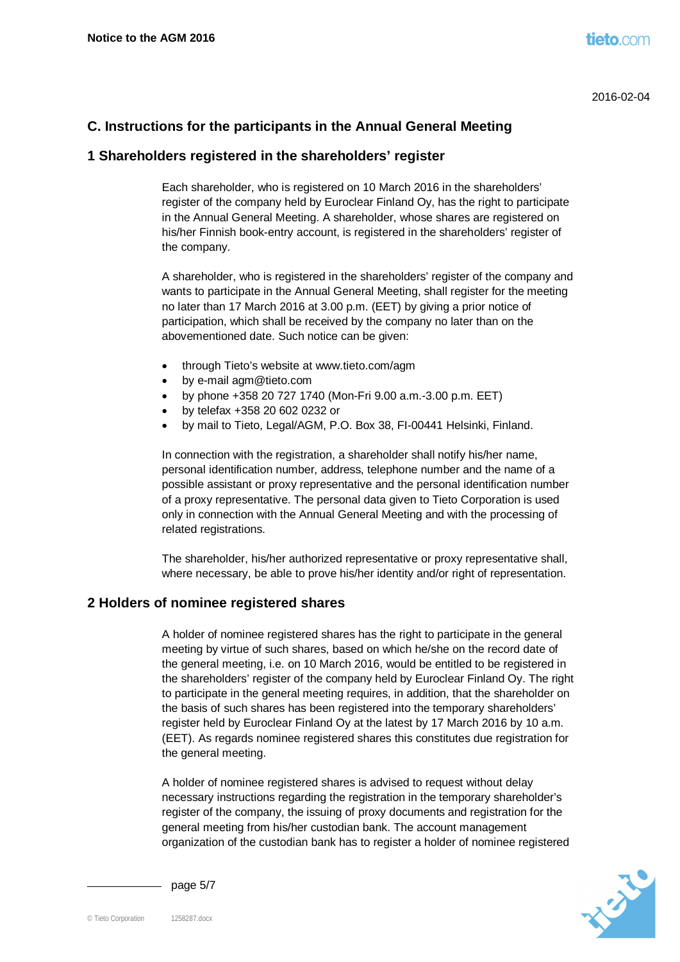# **C. Instructions for the participants in the Annual General Meeting**

## **1 Shareholders registered in the shareholders' register**

Each shareholder, who is registered on 10 March 2016 in the shareholders' register of the company held by Euroclear Finland Oy, has the right to participate in the Annual General Meeting. A shareholder, whose shares are registered on his/her Finnish book-entry account, is registered in the shareholders' register of the company.

A shareholder, who is registered in the shareholders' register of the company and wants to participate in the Annual General Meeting, shall register for the meeting no later than 17 March 2016 at 3.00 p.m. (EET) by giving a prior notice of participation, which shall be received by the company no later than on the abovementioned date. Such notice can be given:

- through Tieto's website at www.tieto.com/agm
- by e-mail agm@tieto.com
- $\bullet$  by phone +358 20 727 1740 (Mon-Fri 9.00 a.m.-3.00 p.m. EET)
- x by telefax +358 20 602 0232 or
- by mail to Tieto, Legal/AGM, P.O. Box 38, FI-00441 Helsinki, Finland.

In connection with the registration, a shareholder shall notify his/her name, personal identification number, address, telephone number and the name of a possible assistant or proxy representative and the personal identification number of a proxy representative. The personal data given to Tieto Corporation is used only in connection with the Annual General Meeting and with the processing of related registrations.

The shareholder, his/her authorized representative or proxy representative shall, where necessary, be able to prove his/her identity and/or right of representation.

## **2 Holders of nominee registered shares**

A holder of nominee registered shares has the right to participate in the general meeting by virtue of such shares, based on which he/she on the record date of the general meeting, i.e. on 10 March 2016, would be entitled to be registered in the shareholders' register of the company held by Euroclear Finland Oy. The right to participate in the general meeting requires, in addition, that the shareholder on the basis of such shares has been registered into the temporary shareholders' register held by Euroclear Finland Oy at the latest by 17 March 2016 by 10 a.m. (EET). As regards nominee registered shares this constitutes due registration for the general meeting.

A holder of nominee registered shares is advised to request without delay necessary instructions regarding the registration in the temporary shareholder's register of the company, the issuing of proxy documents and registration for the general meeting from his/her custodian bank. The account management organization of the custodian bank has to register a holder of nominee registered



page  $5/7$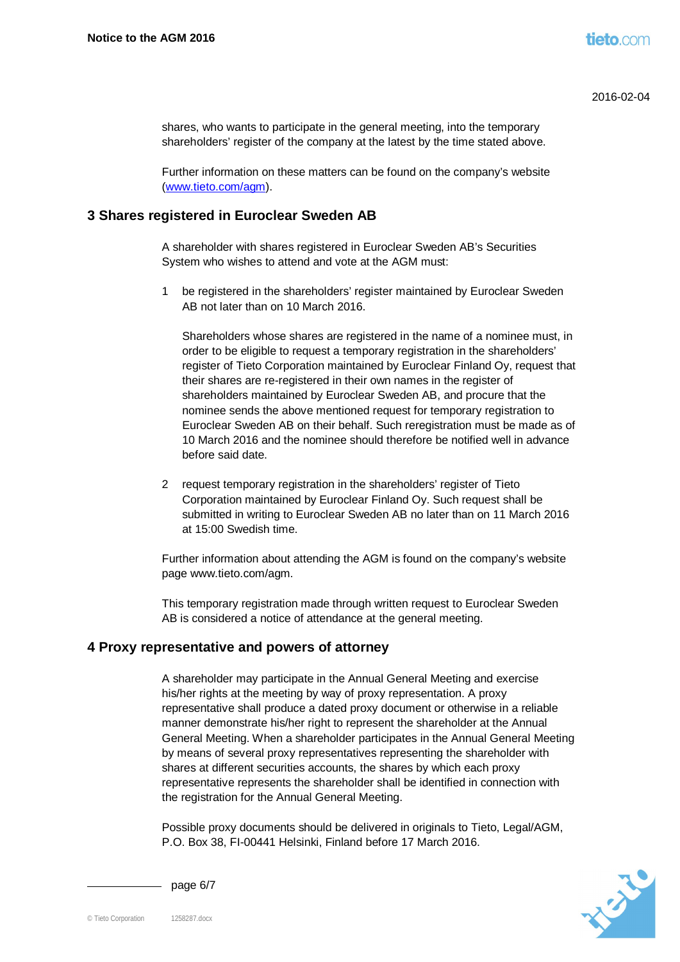shares, who wants to participate in the general meeting, into the temporary shareholders' register of the company at the latest by the time stated above.

[Further information o](http://www.tieto.com/agm)n these matters can be found on the company's website (www.tieto.com/agm).

## **3 Shares registered in Euroclear Sweden AB**

A shareholder with shares registered in Euroclear Sweden AB's Securities System who wishes to attend and vote at the AGM must:

1 be registered in the shareholders' register maintained by Euroclear Sweden AB not later than on 10 March 2016.

Shareholders whose shares are registered in the name of a nominee must, in order to be eligible to request a temporary registration in the shareholders' register of Tieto Corporation maintained by Euroclear Finland Oy, request that their shares are re-registered in their own names in the register of shareholders maintained by Euroclear Sweden AB, and procure that the nominee sends the above mentioned request for temporary registration to Euroclear Sweden AB on their behalf. Such reregistration must be made as of 10 March 2016 and the nominee should therefore be notified well in advance before said date.

2 request temporary registration in the shareholders' register of Tieto Corporation maintained by Euroclear Finland Oy. Such request shall be submitted in writing to Euroclear Sweden AB no later than on 11 March 2016 at 15:00 Swedish time.

Further information about attending the AGM is found on the company's website page www.tieto.com/agm.

This temporary registration made through written request to Euroclear Sweden AB is considered a notice of attendance at the general meeting.

## **4 Proxy representative and powers of attorney**

A shareholder may participate in the Annual General Meeting and exercise his/her rights at the meeting by way of proxy representation. A proxy representative shall produce a dated proxy document or otherwise in a reliable manner demonstrate his/her right to represent the shareholder at the Annual General Meeting. When a shareholder participates in the Annual General Meeting by means of several proxy representatives representing the shareholder with shares at different securities accounts, the shares by which each proxy representative represents the shareholder shall be identified in connection with the registration for the Annual General Meeting.

Possible proxy documents should be delivered in originals to Tieto, Legal/AGM, P.O. Box 38, FI-00441 Helsinki, Finland before 17 March 2016.



- page  $6/7$